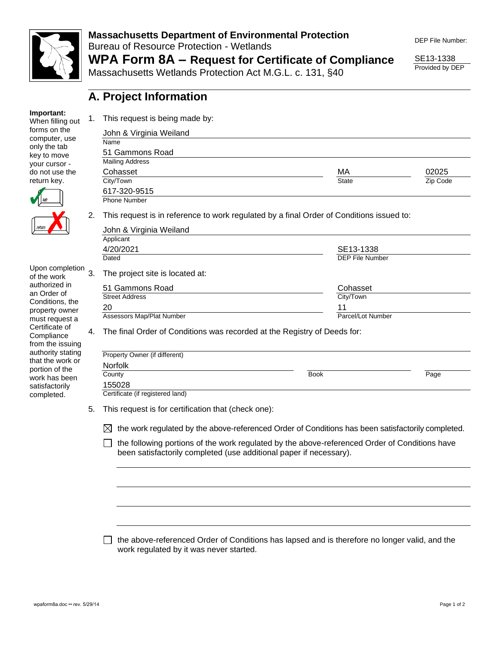

#### **Massachusetts Department of Environmental Protection**  Bureau of Resource Protection - Wetlands **WPA Form 8A – Request for Certificate of Compliance**

Massachusetts Wetlands Protection Act M.G.L. c. 131, §40

DEP File Number:

SE13-1338 Provided by DEP

|  |  | A. Project Information |
|--|--|------------------------|

When filling out forms on the computer, use only the tab key to move your cursor do not use the return key.

**Important:**



Upon completion of the work authorized in an Order of Conditions, the property owner must request a Certificate of **Compliance** from the issuing authority stating that the work or portion of the work has been satisfactorily completed.

| This request is being made by:                                                                                      |                   |          |  |  |  |
|---------------------------------------------------------------------------------------------------------------------|-------------------|----------|--|--|--|
| John & Virginia Weiland                                                                                             |                   |          |  |  |  |
| Name                                                                                                                |                   |          |  |  |  |
| 51 Gammons Road                                                                                                     |                   |          |  |  |  |
| <b>Mailing Address</b>                                                                                              |                   |          |  |  |  |
| Cohasset                                                                                                            | MA                | 02025    |  |  |  |
| City/Town                                                                                                           | <b>State</b>      | Zip Code |  |  |  |
| 617-320-9515                                                                                                        |                   |          |  |  |  |
| <b>Phone Number</b>                                                                                                 |                   |          |  |  |  |
| This request is in reference to work regulated by a final Order of Conditions issued to:<br>John & Virginia Weiland |                   |          |  |  |  |
| Applicant                                                                                                           |                   |          |  |  |  |
| 4/20/2021                                                                                                           | SE13-1338         |          |  |  |  |
| Dated                                                                                                               | DEP File Number   |          |  |  |  |
| The project site is located at:                                                                                     |                   |          |  |  |  |
| 51 Gammons Road                                                                                                     | Cohasset          |          |  |  |  |
| <b>Street Address</b>                                                                                               | City/Town         |          |  |  |  |
| 20                                                                                                                  | 11                |          |  |  |  |
| Assessors Map/Plat Number                                                                                           | Parcel/Lot Number |          |  |  |  |
| The final Order of Conditions was recorded at the Registry of Deeds for:                                            |                   |          |  |  |  |
| Property Owner (if different)                                                                                       |                   |          |  |  |  |
| <b>Norfolk</b>                                                                                                      |                   |          |  |  |  |
| County                                                                                                              | <b>Book</b>       | Page     |  |  |  |
| 155028                                                                                                              |                   |          |  |  |  |

Certificate (if registered land)

5. This request is for certification that (check one):

 $\boxtimes$  the work regulated by the above-referenced Order of Conditions has been satisfactorily completed.

 $\Box$  the following portions of the work regulated by the above-referenced Order of Conditions have been satisfactorily completed (use additional paper if necessary).

 $\Box$  the above-referenced Order of Conditions has lapsed and is therefore no longer valid, and the work regulated by it was never started.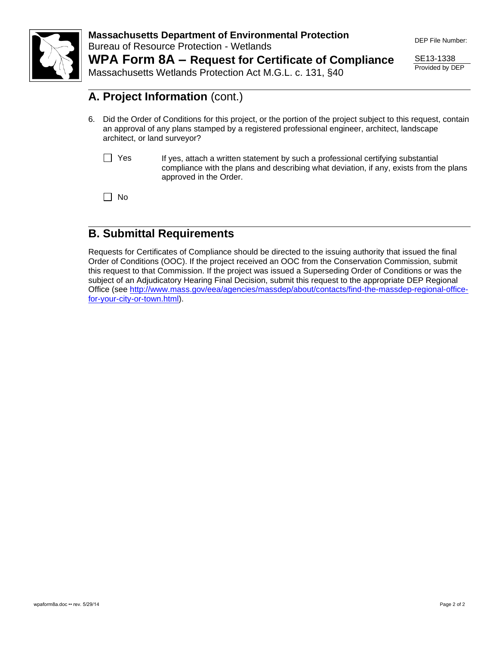

**Massachusetts Department of Environmental Protection**  Bureau of Resource Protection - Wetlands **WPA Form 8A – Request for Certificate of Compliance**

DEP File Number:

SE13-1338 Provided by DEP

Massachusetts Wetlands Protection Act M.G.L. c. 131, §40

# **A. Project Information** (cont.)

- 6. Did the Order of Conditions for this project, or the portion of the project subject to this request, contain an approval of any plans stamped by a registered professional engineer, architect, landscape architect, or land surveyor?
	- $\Box$  Yes If yes, attach a written statement by such a professional certifying substantial compliance with the plans and describing what deviation, if any, exists from the plans approved in the Order.

 $\Box$  No

### **B. Submittal Requirements**

Requests for Certificates of Compliance should be directed to the issuing authority that issued the final Order of Conditions (OOC). If the project received an OOC from the Conservation Commission, submit this request to that Commission. If the project was issued a Superseding Order of Conditions or was the subject of an Adjudicatory Hearing Final Decision, submit this request to the appropriate DEP Regional Office (see [http://www.mass.gov/eea/agencies/massdep/about/contacts/find-the-massdep-regional-office](http://www.mass.gov/eea/agencies/massdep/about/contacts/find-the-massdep-regional-office-for-your-city-or-town.html)[for-your-city-or-town.html\)](http://www.mass.gov/eea/agencies/massdep/about/contacts/find-the-massdep-regional-office-for-your-city-or-town.html).